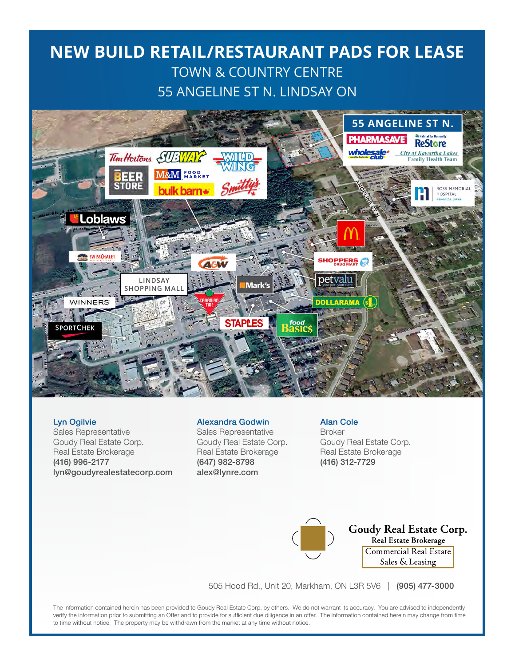### **NEW BUILD RETAIL/RESTAURANT PADS FOR LEASE** TOWN & COUNTRY CENTRE 55 ANGELINE ST N. LINDSAY ON



#### Lyn Ogilvie

Sales Representative Goudy Real Estate Corp. Real Estate Brokerage (416) 996-2177 lyn@goudyrealestatecorp.com

#### Alexandra Godwin

Sales Representative Goudy Real Estate Corp. Real Estate Brokerage (647) 982-8798 alex@lynre.com

Alan Cole Broker Goudy Real Estate Corp. Real Estate Brokerage (416) 312-7729



Goudy Real Estate Corp. Real Estate Brokerage Commercial Real Estate Sales & Leasing

505 Hood Rd., Unit 20, Markham, ON L3R 5V6 | (905) 477-3000

The information contained herein has been provided to Goudy Real Estate Corp. by others. We do not warrant its accuracy. You are advised to independently verify the information prior to submitting an Offer and to provide for sufficient due diligence in an offer. The information contained herein may change from time to time without notice. The property may be withdrawn from the market at any time without notice.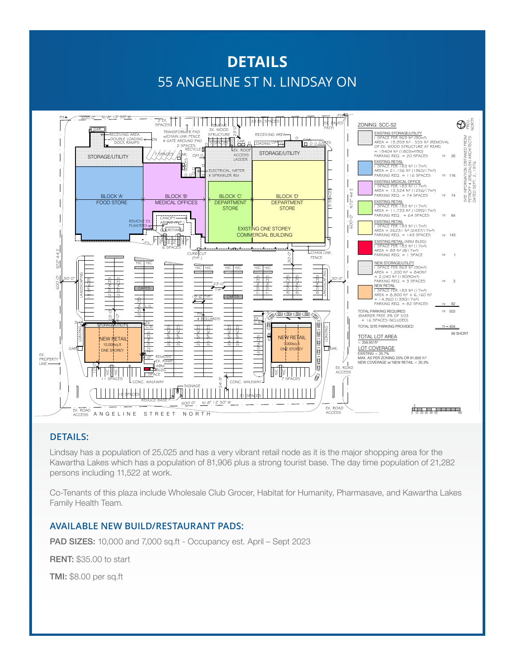# **DETAILS** 55 ANGELINE ST N. LINDSAY ON



### **DETAILS:**

Lindsay has a population of 25,025 and has a very vibrant retail node as it is the major shopping area for the Kawartha Lakes which has a population of 81,906 plus a strong tourist base. The day time population of 21,282 persons including 11,522 at work.

Co-Tenants of this plaza include Wholesale Club Grocer, Habitat for Humanity, Pharmasave, and Kawartha Lakes Family Health Team.

#### **AVAILABLE NEW BUILD/RESTAURANT PADS:**

PAD SIZES: 10,000 and 7,000 sq.ft - Occupancy est. April – Sept 2023

RENT: \$35.00 to start

TMI: \$8.00 per sq.ft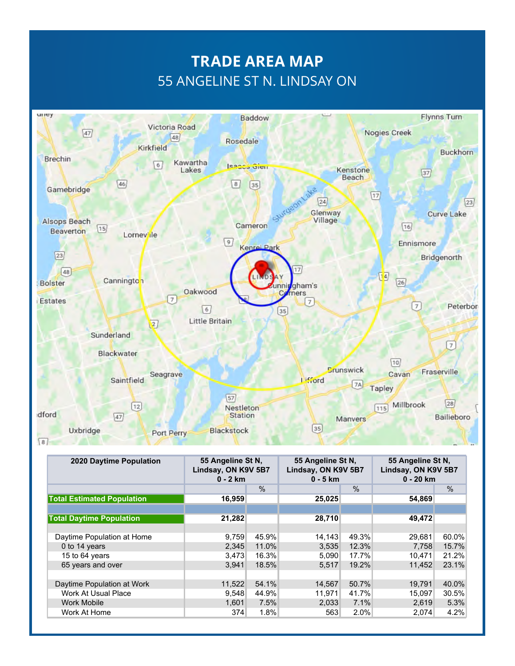# **TRADE AREA MAP** 55 ANGELINE ST N. LINDSAY ON



| 2020 Daytime Population           | 55 Angeline St N.<br>Lindsay, ON K9V 5B7<br>$0 - 2$ km |       | 55 Angeline St N,<br>Lindsay, ON K9V 5B7<br>$0 - 5$ km |       | 55 Angeline St N,<br>Lindsay, ON K9V 5B7<br>$0 - 20$ km |               |
|-----------------------------------|--------------------------------------------------------|-------|--------------------------------------------------------|-------|---------------------------------------------------------|---------------|
|                                   |                                                        | $\%$  |                                                        | $\%$  |                                                         | $\frac{0}{0}$ |
| <b>Total Estimated Population</b> | 16,959                                                 |       | 25,025                                                 |       | 54,869                                                  |               |
|                                   |                                                        |       |                                                        |       |                                                         |               |
| <b>Total Daytime Population</b>   | 21,282                                                 |       | 28,710                                                 |       | 49,472                                                  |               |
|                                   |                                                        |       |                                                        |       |                                                         |               |
| Daytime Population at Home        | 9,759                                                  | 45.9% | 14,143                                                 | 49.3% | 29,681                                                  | 60.0%         |
| 0 to 14 years                     | 2,345                                                  | 11.0% | 3,535                                                  | 12.3% | 7.758                                                   | 15.7%         |
| 15 to 64 years                    | 3,473                                                  | 16.3% | 5.090                                                  | 17.7% | 10.471                                                  | 21.2%         |
| 65 years and over                 | 3,941                                                  | 18.5% | 5,517                                                  | 19.2% | 11,452                                                  | 23.1%         |
|                                   |                                                        |       |                                                        |       |                                                         |               |
| Daytime Population at Work        | 11,522                                                 | 54.1% | 14,567                                                 | 50.7% | 19,791                                                  | 40.0%         |
| Work At Usual Place               | 9,548                                                  | 44.9% | 11,971                                                 | 41.7% | 15,097                                                  | 30.5%         |
| <b>Work Mobile</b>                | 1,601                                                  | 7.5%  | 2,033                                                  | 7.1%  | 2,619                                                   | 5.3%          |
| Work At Home                      | 374                                                    | 1.8%  | 563                                                    | 2.0%  | 2,074                                                   | 4.2%          |